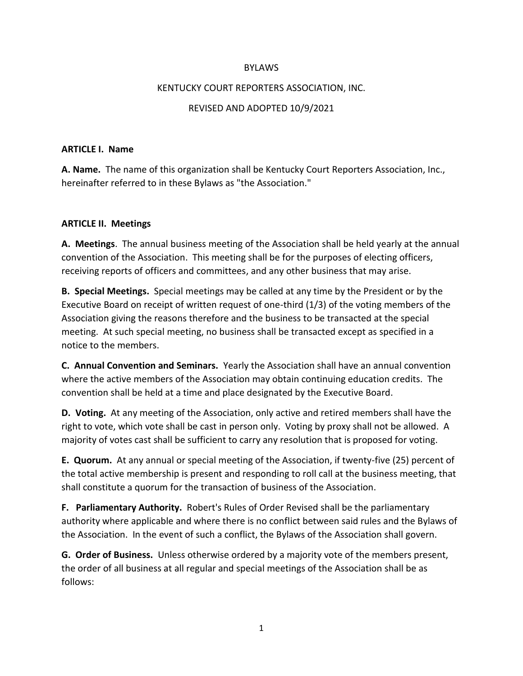#### **BYLAWS**

#### KENTUCKY COURT REPORTERS ASSOCIATION, INC.

#### REVISED AND ADOPTED 10/9/2021

#### **ARTICLE I. Name**

**A. Name.** The name of this organization shall be Kentucky Court Reporters Association, Inc., hereinafter referred to in these Bylaws as "the Association."

#### **ARTICLE II. Meetings**

**A. Meetings**. The annual business meeting of the Association shall be held yearly at the annual convention of the Association. This meeting shall be for the purposes of electing officers, receiving reports of officers and committees, and any other business that may arise.

**B. Special Meetings.** Special meetings may be called at any time by the President or by the Executive Board on receipt of written request of one-third (1/3) of the voting members of the Association giving the reasons therefore and the business to be transacted at the special meeting. At such special meeting, no business shall be transacted except as specified in a notice to the members.

**C. Annual Convention and Seminars.** Yearly the Association shall have an annual convention where the active members of the Association may obtain continuing education credits. The convention shall be held at a time and place designated by the Executive Board.

**D. Voting.** At any meeting of the Association, only active and retired members shall have the right to vote, which vote shall be cast in person only. Voting by proxy shall not be allowed. A majority of votes cast shall be sufficient to carry any resolution that is proposed for voting.

**E. Quorum.** At any annual or special meeting of the Association, if twenty-five (25) percent of the total active membership is present and responding to roll call at the business meeting, that shall constitute a quorum for the transaction of business of the Association.

**F. Parliamentary Authority.** Robert's Rules of Order Revised shall be the parliamentary authority where applicable and where there is no conflict between said rules and the Bylaws of the Association. In the event of such a conflict, the Bylaws of the Association shall govern.

**G. Order of Business.** Unless otherwise ordered by a majority vote of the members present, the order of all business at all regular and special meetings of the Association shall be as follows: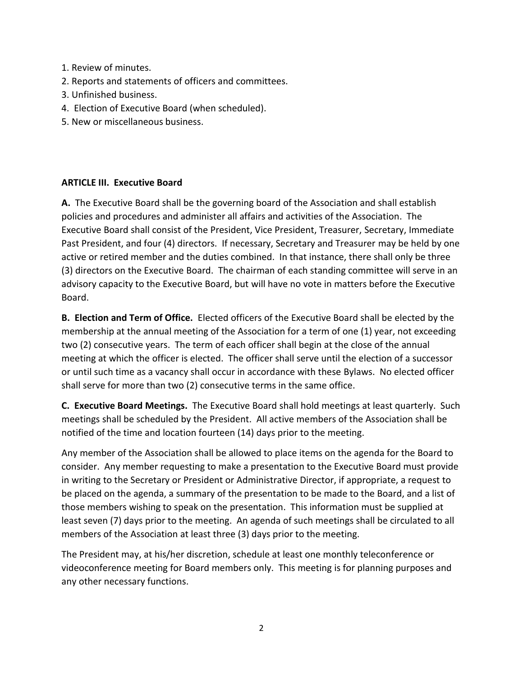- 1. Review of minutes.
- 2. Reports and statements of officers and committees.
- 3. Unfinished business.
- 4. Election of Executive Board (when scheduled).
- 5. New or miscellaneous business.

#### **ARTICLE III. Executive Board**

**A.** The Executive Board shall be the governing board of the Association and shall establish policies and procedures and administer all affairs and activities of the Association. The Executive Board shall consist of the President, Vice President, Treasurer, Secretary, Immediate Past President, and four (4) directors. If necessary, Secretary and Treasurer may be held by one active or retired member and the duties combined. In that instance, there shall only be three (3) directors on the Executive Board. The chairman of each standing committee will serve in an advisory capacity to the Executive Board, but will have no vote in matters before the Executive Board.

**B. Election and Term of Office.** Elected officers of the Executive Board shall be elected by the membership at the annual meeting of the Association for a term of one (1) year, not exceeding two (2) consecutive years. The term of each officer shall begin at the close of the annual meeting at which the officer is elected. The officer shall serve until the election of a successor or until such time as a vacancy shall occur in accordance with these Bylaws. No elected officer shall serve for more than two (2) consecutive terms in the same office.

**C. Executive Board Meetings.** The Executive Board shall hold meetings at least quarterly. Such meetings shall be scheduled by the President. All active members of the Association shall be notified of the time and location fourteen (14) days prior to the meeting.

Any member of the Association shall be allowed to place items on the agenda for the Board to consider. Any member requesting to make a presentation to the Executive Board must provide in writing to the Secretary or President or Administrative Director, if appropriate, a request to be placed on the agenda, a summary of the presentation to be made to the Board, and a list of those members wishing to speak on the presentation. This information must be supplied at least seven (7) days prior to the meeting. An agenda of such meetings shall be circulated to all members of the Association at least three (3) days prior to the meeting.

The President may, at his/her discretion, schedule at least one monthly teleconference or videoconference meeting for Board members only. This meeting is for planning purposes and any other necessary functions.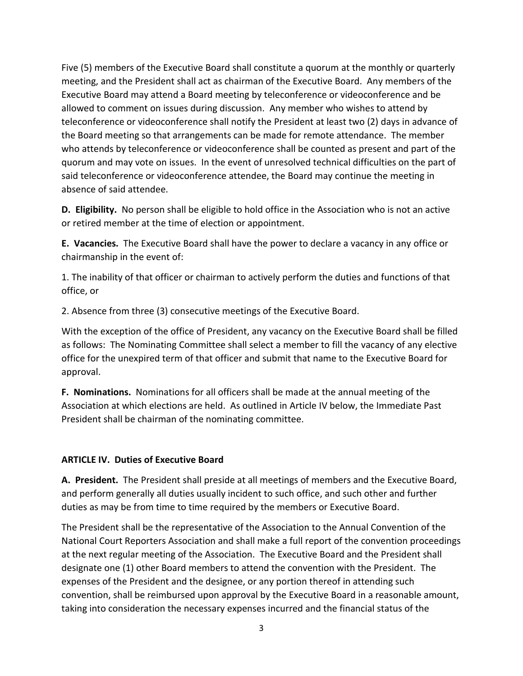Five (5) members of the Executive Board shall constitute a quorum at the monthly or quarterly meeting, and the President shall act as chairman of the Executive Board. Any members of the Executive Board may attend a Board meeting by teleconference or videoconference and be allowed to comment on issues during discussion. Any member who wishes to attend by teleconference or videoconference shall notify the President at least two (2) days in advance of the Board meeting so that arrangements can be made for remote attendance. The member who attends by teleconference or videoconference shall be counted as present and part of the quorum and may vote on issues. In the event of unresolved technical difficulties on the part of said teleconference or videoconference attendee, the Board may continue the meeting in absence of said attendee.

**D. Eligibility.** No person shall be eligible to hold office in the Association who is not an active or retired member at the time of election or appointment.

**E. Vacancies.** The Executive Board shall have the power to declare a vacancy in any office or chairmanship in the event of:

1. The inability of that officer or chairman to actively perform the duties and functions of that office, or

2. Absence from three (3) consecutive meetings of the Executive Board.

With the exception of the office of President, any vacancy on the Executive Board shall be filled as follows: The Nominating Committee shall select a member to fill the vacancy of any elective office for the unexpired term of that officer and submit that name to the Executive Board for approval.

**F. Nominations.** Nominations for all officers shall be made at the annual meeting of the Association at which elections are held. As outlined in Article IV below, the Immediate Past President shall be chairman of the nominating committee.

## **ARTICLE IV. Duties of Executive Board**

**A. President.** The President shall preside at all meetings of members and the Executive Board, and perform generally all duties usually incident to such office, and such other and further duties as may be from time to time required by the members or Executive Board.

The President shall be the representative of the Association to the Annual Convention of the National Court Reporters Association and shall make a full report of the convention proceedings at the next regular meeting of the Association. The Executive Board and the President shall designate one (1) other Board members to attend the convention with the President. The expenses of the President and the designee, or any portion thereof in attending such convention, shall be reimbursed upon approval by the Executive Board in a reasonable amount, taking into consideration the necessary expenses incurred and the financial status of the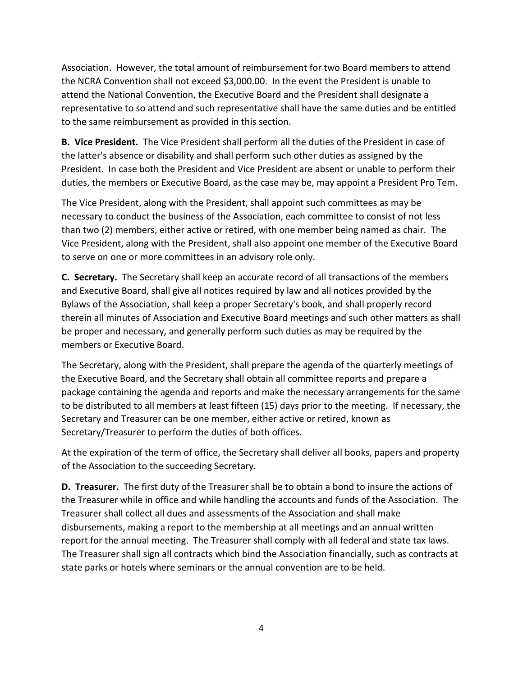Association. However, the total amount of reimbursement for two Board members to attend the NCRA Convention shall not exceed \$3,000.00. In the event the President is unable to attend the National Convention, the Executive Board and the President shall designate a representative to so attend and such representative shall have the same duties and be entitled to the same reimbursement as provided in this section.

**B. Vice President.** The Vice President shall perform all the duties of the President in case of the latter's absence or disability and shall perform such other duties as assigned by the President. In case both the President and Vice President are absent or unable to perform their duties, the members or Executive Board, as the case may be, may appoint a President Pro Tem.

The Vice President, along with the President, shall appoint such committees as may be necessary to conduct the business of the Association, each committee to consist of not less than two (2) members, either active or retired, with one member being named as chair. The Vice President, along with the President, shall also appoint one member of the Executive Board to serve on one or more committees in an advisory role only.

**C. Secretary.** The Secretary shall keep an accurate record of all transactions of the members and Executive Board, shall give all notices required by law and all notices provided by the Bylaws of the Association, shall keep a proper Secretary's book, and shall properly record therein all minutes of Association and Executive Board meetings and such other matters as shall be proper and necessary, and generally perform such duties as may be required by the members or Executive Board.

The Secretary, along with the President, shall prepare the agenda of the quarterly meetings of the Executive Board, and the Secretary shall obtain all committee reports and prepare a package containing the agenda and reports and make the necessary arrangements for the same to be distributed to all members at least fifteen (15) days prior to the meeting. If necessary, the Secretary and Treasurer can be one member, either active or retired, known as Secretary/Treasurer to perform the duties of both offices.

At the expiration of the term of office, the Secretary shall deliver all books, papers and property of the Association to the succeeding Secretary.

**D. Treasurer.** The first duty of the Treasurer shall be to obtain a bond to insure the actions of the Treasurer while in office and while handling the accounts and funds of the Association. The Treasurer shall collect all dues and assessments of the Association and shall make disbursements, making a report to the membership at all meetings and an annual written report for the annual meeting. The Treasurer shall comply with all federal and state tax laws. The Treasurer shall sign all contracts which bind the Association financially, such as contracts at state parks or hotels where seminars or the annual convention are to be held.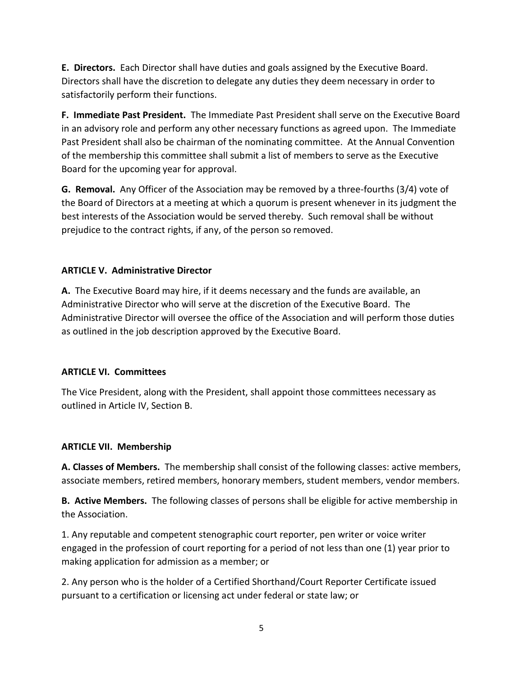**E. Directors.** Each Director shall have duties and goals assigned by the Executive Board. Directors shall have the discretion to delegate any duties they deem necessary in order to satisfactorily perform their functions.

**F. Immediate Past President.** The Immediate Past President shall serve on the Executive Board in an advisory role and perform any other necessary functions as agreed upon. The Immediate Past President shall also be chairman of the nominating committee. At the Annual Convention of the membership this committee shall submit a list of members to serve as the Executive Board for the upcoming year for approval.

**G. Removal.** Any Officer of the Association may be removed by a three-fourths (3/4) vote of the Board of Directors at a meeting at which a quorum is present whenever in its judgment the best interests of the Association would be served thereby. Such removal shall be without prejudice to the contract rights, if any, of the person so removed.

# **ARTICLE V. Administrative Director**

**A.** The Executive Board may hire, if it deems necessary and the funds are available, an Administrative Director who will serve at the discretion of the Executive Board. The Administrative Director will oversee the office of the Association and will perform those duties as outlined in the job description approved by the Executive Board.

## **ARTICLE VI. Committees**

The Vice President, along with the President, shall appoint those committees necessary as outlined in Article IV, Section B.

## **ARTICLE VII. Membership**

**A. Classes of Members.** The membership shall consist of the following classes: active members, associate members, retired members, honorary members, student members, vendor members.

**B. Active Members.** The following classes of persons shall be eligible for active membership in the Association.

1. Any reputable and competent stenographic court reporter, pen writer or voice writer engaged in the profession of court reporting for a period of not less than one (1) year prior to making application for admission as a member; or

2. Any person who is the holder of a Certified Shorthand/Court Reporter Certificate issued pursuant to a certification or licensing act under federal or state law; or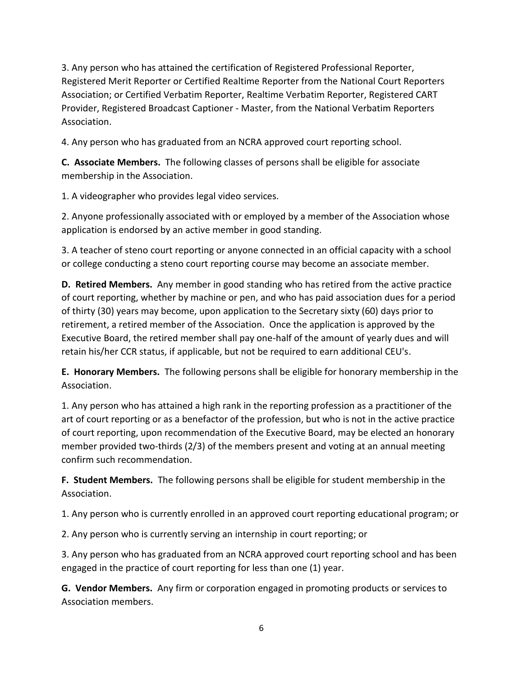3. Any person who has attained the certification of Registered Professional Reporter, Registered Merit Reporter or Certified Realtime Reporter from the National Court Reporters Association; or Certified Verbatim Reporter, Realtime Verbatim Reporter, Registered CART Provider, Registered Broadcast Captioner - Master, from the National Verbatim Reporters Association.

4. Any person who has graduated from an NCRA approved court reporting school.

**C. Associate Members.** The following classes of persons shall be eligible for associate membership in the Association.

1. A videographer who provides legal video services.

2. Anyone professionally associated with or employed by a member of the Association whose application is endorsed by an active member in good standing.

3. A teacher of steno court reporting or anyone connected in an official capacity with a school or college conducting a steno court reporting course may become an associate member.

**D. Retired Members.** Any member in good standing who has retired from the active practice of court reporting, whether by machine or pen, and who has paid association dues for a period of thirty (30) years may become, upon application to the Secretary sixty (60) days prior to retirement, a retired member of the Association. Once the application is approved by the Executive Board, the retired member shall pay one-half of the amount of yearly dues and will retain his/her CCR status, if applicable, but not be required to earn additional CEU's.

**E. Honorary Members.** The following persons shall be eligible for honorary membership in the Association.

1. Any person who has attained a high rank in the reporting profession as a practitioner of the art of court reporting or as a benefactor of the profession, but who is not in the active practice of court reporting, upon recommendation of the Executive Board, may be elected an honorary member provided two-thirds (2/3) of the members present and voting at an annual meeting confirm such recommendation.

**F. Student Members.** The following persons shall be eligible for student membership in the Association.

1. Any person who is currently enrolled in an approved court reporting educational program; or

2. Any person who is currently serving an internship in court reporting; or

3. Any person who has graduated from an NCRA approved court reporting school and has been engaged in the practice of court reporting for less than one (1) year.

**G. Vendor Members.** Any firm or corporation engaged in promoting products or services to Association members.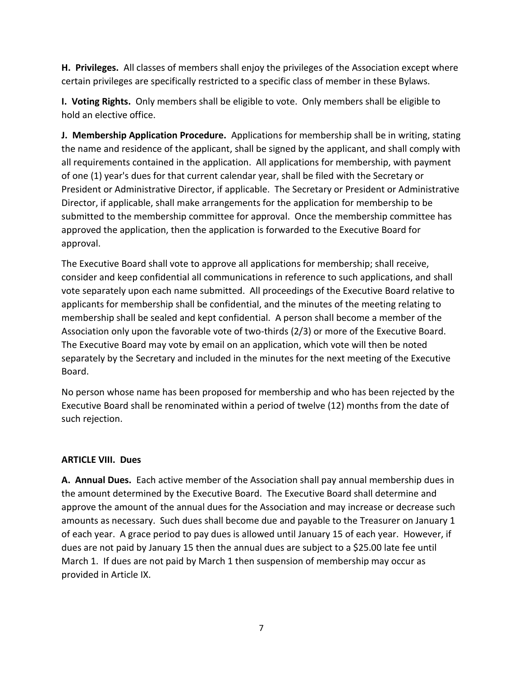**H. Privileges.** All classes of members shall enjoy the privileges of the Association except where certain privileges are specifically restricted to a specific class of member in these Bylaws.

**I. Voting Rights.** Only members shall be eligible to vote. Only members shall be eligible to hold an elective office.

**J. Membership Application Procedure.** Applications for membership shall be in writing, stating the name and residence of the applicant, shall be signed by the applicant, and shall comply with all requirements contained in the application. All applications for membership, with payment of one (1) year's dues for that current calendar year, shall be filed with the Secretary or President or Administrative Director, if applicable. The Secretary or President or Administrative Director, if applicable, shall make arrangements for the application for membership to be submitted to the membership committee for approval. Once the membership committee has approved the application, then the application is forwarded to the Executive Board for approval.

The Executive Board shall vote to approve all applications for membership; shall receive, consider and keep confidential all communications in reference to such applications, and shall vote separately upon each name submitted. All proceedings of the Executive Board relative to applicants for membership shall be confidential, and the minutes of the meeting relating to membership shall be sealed and kept confidential. A person shall become a member of the Association only upon the favorable vote of two-thirds (2/3) or more of the Executive Board. The Executive Board may vote by email on an application, which vote will then be noted separately by the Secretary and included in the minutes for the next meeting of the Executive Board.

No person whose name has been proposed for membership and who has been rejected by the Executive Board shall be renominated within a period of twelve (12) months from the date of such rejection.

## **ARTICLE VIII. Dues**

**A. Annual Dues.** Each active member of the Association shall pay annual membership dues in the amount determined by the Executive Board. The Executive Board shall determine and approve the amount of the annual dues for the Association and may increase or decrease such amounts as necessary. Such dues shall become due and payable to the Treasurer on January 1 of each year. A grace period to pay dues is allowed until January 15 of each year. However, if dues are not paid by January 15 then the annual dues are subject to a \$25.00 late fee until March 1. If dues are not paid by March 1 then suspension of membership may occur as provided in Article IX.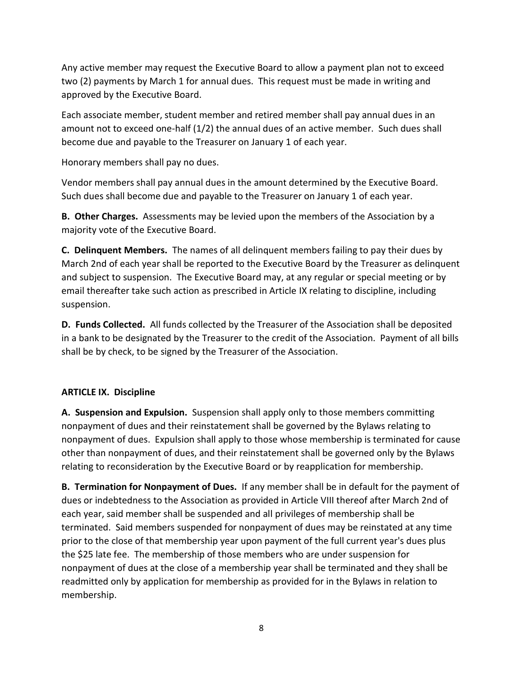Any active member may request the Executive Board to allow a payment plan not to exceed two (2) payments by March 1 for annual dues. This request must be made in writing and approved by the Executive Board.

Each associate member, student member and retired member shall pay annual dues in an amount not to exceed one-half (1/2) the annual dues of an active member. Such dues shall become due and payable to the Treasurer on January 1 of each year.

Honorary members shall pay no dues.

Vendor members shall pay annual dues in the amount determined by the Executive Board. Such dues shall become due and payable to the Treasurer on January 1 of each year.

**B. Other Charges.** Assessments may be levied upon the members of the Association by a majority vote of the Executive Board.

**C. Delinquent Members.** The names of all delinquent members failing to pay their dues by March 2nd of each year shall be reported to the Executive Board by the Treasurer as delinquent and subject to suspension. The Executive Board may, at any regular or special meeting or by email thereafter take such action as prescribed in Article IX relating to discipline, including suspension.

**D. Funds Collected.** All funds collected by the Treasurer of the Association shall be deposited in a bank to be designated by the Treasurer to the credit of the Association. Payment of all bills shall be by check, to be signed by the Treasurer of the Association.

## **ARTICLE IX. Discipline**

**A. Suspension and Expulsion.** Suspension shall apply only to those members committing nonpayment of dues and their reinstatement shall be governed by the Bylaws relating to nonpayment of dues. Expulsion shall apply to those whose membership is terminated for cause other than nonpayment of dues, and their reinstatement shall be governed only by the Bylaws relating to reconsideration by the Executive Board or by reapplication for membership.

**B. Termination for Nonpayment of Dues.** If any member shall be in default for the payment of dues or indebtedness to the Association as provided in Article VIII thereof after March 2nd of each year, said member shall be suspended and all privileges of membership shall be terminated. Said members suspended for nonpayment of dues may be reinstated at any time prior to the close of that membership year upon payment of the full current year's dues plus the \$25 late fee. The membership of those members who are under suspension for nonpayment of dues at the close of a membership year shall be terminated and they shall be readmitted only by application for membership as provided for in the Bylaws in relation to membership.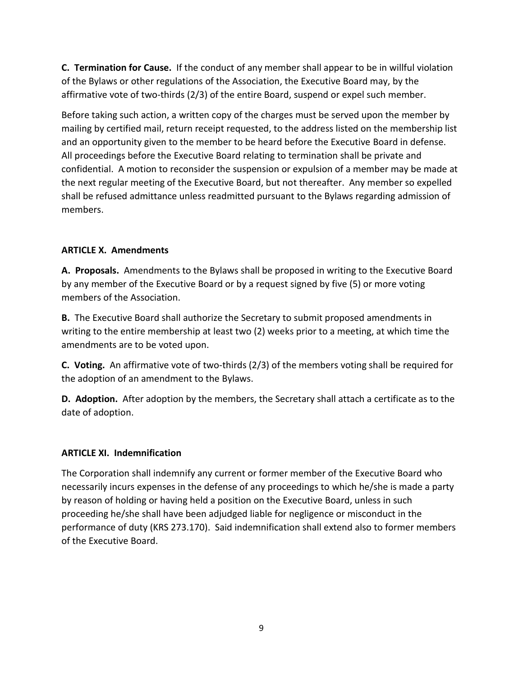**C. Termination for Cause.** If the conduct of any member shall appear to be in willful violation of the Bylaws or other regulations of the Association, the Executive Board may, by the affirmative vote of two-thirds (2/3) of the entire Board, suspend or expel such member.

Before taking such action, a written copy of the charges must be served upon the member by mailing by certified mail, return receipt requested, to the address listed on the membership list and an opportunity given to the member to be heard before the Executive Board in defense. All proceedings before the Executive Board relating to termination shall be private and confidential. A motion to reconsider the suspension or expulsion of a member may be made at the next regular meeting of the Executive Board, but not thereafter. Any member so expelled shall be refused admittance unless readmitted pursuant to the Bylaws regarding admission of members.

# **ARTICLE X. Amendments**

**A. Proposals.** Amendments to the Bylaws shall be proposed in writing to the Executive Board by any member of the Executive Board or by a request signed by five (5) or more voting members of the Association.

**B.** The Executive Board shall authorize the Secretary to submit proposed amendments in writing to the entire membership at least two (2) weeks prior to a meeting, at which time the amendments are to be voted upon.

**C. Voting.** An affirmative vote of two-thirds (2/3) of the members voting shall be required for the adoption of an amendment to the Bylaws.

**D. Adoption.** After adoption by the members, the Secretary shall attach a certificate as to the date of adoption.

## **ARTICLE XI. Indemnification**

The Corporation shall indemnify any current or former member of the Executive Board who necessarily incurs expenses in the defense of any proceedings to which he/she is made a party by reason of holding or having held a position on the Executive Board, unless in such proceeding he/she shall have been adjudged liable for negligence or misconduct in the performance of duty (KRS 273.170). Said indemnification shall extend also to former members of the Executive Board.